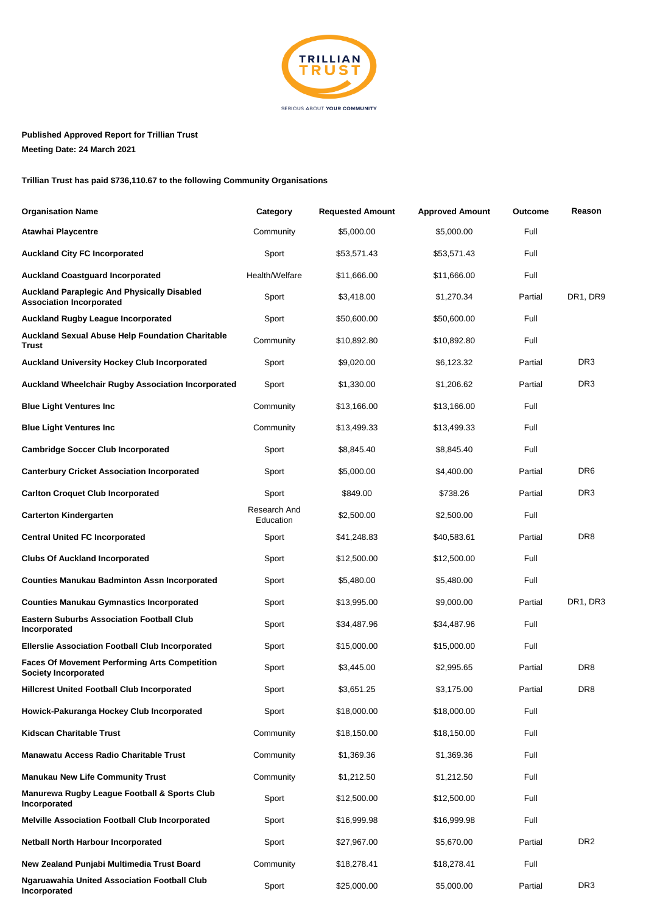

**Published Approved Report for Trillian Trust Meeting Date: 24 March 2021**

**Trillian Trust has paid \$736,110.67 to the following Community Organisations**

| <b>Organisation Name</b>                                                              | Category                  | <b>Requested Amount</b> | <b>Approved Amount</b> | <b>Outcome</b> | Reason          |
|---------------------------------------------------------------------------------------|---------------------------|-------------------------|------------------------|----------------|-----------------|
| Atawhai Playcentre                                                                    | Community                 | \$5,000.00              | \$5,000.00             | Full           |                 |
| <b>Auckland City FC Incorporated</b>                                                  | Sport                     | \$53,571.43             | \$53,571.43            | Full           |                 |
| <b>Auckland Coastguard Incorporated</b>                                               | Health/Welfare            | \$11,666.00             | \$11,666.00            | Full           |                 |
| <b>Auckland Paraplegic And Physically Disabled</b><br><b>Association Incorporated</b> | Sport                     | \$3,418.00              | \$1,270.34             | Partial        | DR1, DR9        |
| <b>Auckland Rugby League Incorporated</b>                                             | Sport                     | \$50,600.00             | \$50,600.00            | Full           |                 |
| Auckland Sexual Abuse Help Foundation Charitable<br>Trust                             | Community                 | \$10,892.80             | \$10,892.80            | Full           |                 |
| Auckland University Hockey Club Incorporated                                          | Sport                     | \$9,020.00              | \$6,123.32             | Partial        | DR <sub>3</sub> |
| Auckland Wheelchair Rugby Association Incorporated                                    | Sport                     | \$1,330.00              | \$1,206.62             | Partial        | DR <sub>3</sub> |
| <b>Blue Light Ventures Inc.</b>                                                       | Community                 | \$13,166.00             | \$13,166.00            | Full           |                 |
| <b>Blue Light Ventures Inc.</b>                                                       | Community                 | \$13,499.33             | \$13,499.33            | Full           |                 |
| <b>Cambridge Soccer Club Incorporated</b>                                             | Sport                     | \$8,845.40              | \$8,845.40             | Full           |                 |
| <b>Canterbury Cricket Association Incorporated</b>                                    | Sport                     | \$5,000.00              | \$4,400.00             | Partial        | DR <sub>6</sub> |
| <b>Carlton Croquet Club Incorporated</b>                                              | Sport                     | \$849.00                | \$738.26               | Partial        | DR <sub>3</sub> |
| <b>Carterton Kindergarten</b>                                                         | Research And<br>Education | \$2,500.00              | \$2,500.00             | Full           |                 |
| <b>Central United FC Incorporated</b>                                                 | Sport                     | \$41,248.83             | \$40,583.61            | Partial        | DR <sub>8</sub> |
| <b>Clubs Of Auckland Incorporated</b>                                                 | Sport                     | \$12,500.00             | \$12,500.00            | Full           |                 |
| <b>Counties Manukau Badminton Assn Incorporated</b>                                   | Sport                     | \$5,480.00              | \$5,480.00             | Full           |                 |
| <b>Counties Manukau Gymnastics Incorporated</b>                                       | Sport                     | \$13,995.00             | \$9,000.00             | Partial        | DR1, DR3        |
| <b>Eastern Suburbs Association Football Club</b><br>Incorporated                      | Sport                     | \$34,487.96             | \$34,487.96            | Full           |                 |
| <b>Ellerslie Association Football Club Incorporated</b>                               | Sport                     | \$15,000.00             | \$15,000.00            | Full           |                 |
| <b>Faces Of Movement Performing Arts Competition</b><br><b>Society Incorporated</b>   | Sport                     | \$3,445.00              | \$2,995.65             | Partial        | DR <sub>8</sub> |
| <b>Hillcrest United Football Club Incorporated</b>                                    | Sport                     | \$3,651.25              | \$3,175.00             | Partial        | DR8             |
| Howick-Pakuranga Hockey Club Incorporated                                             | Sport                     | \$18,000.00             | \$18,000.00            | Full           |                 |
| <b>Kidscan Charitable Trust</b>                                                       | Community                 | \$18,150.00             | \$18,150.00            | Full           |                 |
| <b>Manawatu Access Radio Charitable Trust</b>                                         | Community                 | \$1,369.36              | \$1,369.36             | Full           |                 |
| <b>Manukau New Life Community Trust</b>                                               | Community                 | \$1,212.50              | \$1,212.50             | Full           |                 |
| Manurewa Rugby League Football & Sports Club<br>Incorporated                          | Sport                     | \$12,500.00             | \$12,500.00            | Full           |                 |
| <b>Melville Association Football Club Incorporated</b>                                | Sport                     | \$16,999.98             | \$16,999.98            | Full           |                 |
| <b>Netball North Harbour Incorporated</b>                                             | Sport                     | \$27,967.00             | \$5,670.00             | Partial        | DR <sub>2</sub> |
| New Zealand Punjabi Multimedia Trust Board                                            | Community                 | \$18,278.41             | \$18,278.41            | Full           |                 |
| <b>Ngaruawahia United Association Football Club</b><br>Incorporated                   | Sport                     | \$25,000.00             | \$5,000.00             | Partial        | DR <sub>3</sub> |